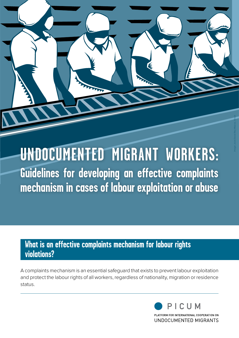# **UNDOCUMENTED MIGRANT WORKERS: Guidelines for developing an effective complaints mechanism in cases of labour exploitation or abuse**

# **What is an effective complaints mechanism for labour rights violations?**

A complaints mechanism is an essential safeguard that exists to prevent labour exploitation and protect the labour rights of all workers, regardless of nationality, migration or residence status.

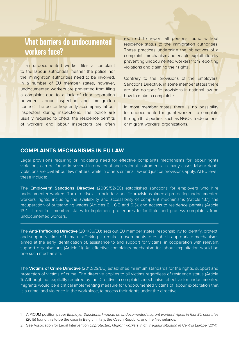# **What barriers do undocumented workers face?**

If an undocumented worker files a complaint to the labour authorities, neither the police nor the immigration authorities need to be involved. In a number of EU member states, however, undocumented workers are prevented from filing a complaint due to a lack of clear separation between labour inspection and immigration control.<sup>1</sup> The police frequently accompany labour inspectors during inspections. The police are usually required to check the residence permits of workers and labour inspectors are often

required to report all persons found without residence status to the immigration authorities. These practices undermine the objectives of a complaints mechanism and enable exploitation by preventing undocumented workers from reporting violations and claiming their rights.

Contrary to the provisions of the Employers' Sanctions Directive, in some member states there are also no specific provisions in national law on how to make a complaint.<sup>2</sup>

In most member states there is no possibility for undocumented migrant workers to complain through third parties, such as NGOs, trade unions, or migrant workers' organizations.

#### **COMPLAINTS MECHANISMS IN EU LAW**

Legal provisions requiring or indicating need for effective complaints mechanisms for labour rights violations can be found in several international and regional instruments. In many cases labour rights violations are civil labour law matters, while in others criminal law and justice provisions apply. At EU level, these include:

The **Employers' Sanctions Directive** (2009/52/EC) establishes sanctions for employers who hire undocumented workers. The directive also includes specific provisions aimed at protecting undocumented workers' rights, including the availability and accessibility of complaint mechanisms (Article 13.1); the recuperation of outstanding wages (Articles 6.1, 6.2 and 6.3); and access to residence permits (Article 13.4). It requires member states to implement procedures to facilitate and process complaints from undocumented workers.

The **Anti-Trafficking Directive** (2011/36/EU) sets out EU member states' responsibility to identify, protect, and support victims of human trafficking. It requires governments to establish appropriate mechanisms aimed at the early identification of, assistance to and support for victims, in cooperation with relevant support organisations (Article 11). An effective complaints mechanism for labour exploitation would be one such mechanism.

The **Victims of Crime Directive** (2012/29/EU) establishes minimum standards for the rights, support and protection of victims of crime. The directive applies to all victims regardless of residence status (Article 1). Although not explicitly required by the Directive, a complaints mechanism effective for undocumented migrants would be a critical implementing measure for undocumented victims of labour exploitation that is a crime, and violence in the workplace, to access their rights under the directive.

- 1 A PICUM position paper Employer Sanctions: Impacts on undocumented migrant workers' rights in four EU countries (2015) found this to be the case in Belgium, Italy, the Czech Republic, and the Netherlands.
- 2 See Association for Legal Intervention Unprotected. Migrant workers in an irregular situation in Central Europe (2014)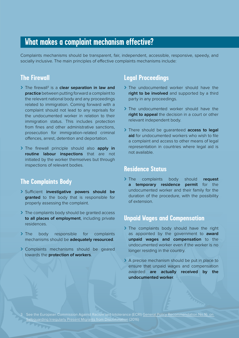# **What makes a complaint mechanism effective?**

Complaints mechanisms should be transparent, fair, independent, accessible, responsive, speedy, and socially inclusive. The main principles of effective complaints mechanisms include:

## **The Firewall**

- > The firewall<sup>3</sup> is a **clear separation in law and practice** between putting forward a complaint to the relevant national body and any proceedings related to immigration. Coming forward with a complaint should not lead to any reprisals for the undocumented worker in relation to their immigration status. This includes protection from fines and other administrative sanctions, prosecution for immigration-related criminal offences, arrest, detention and deportation.
- **>** The firewall principle should also **apply in routine labour inspections** that are not initiated by the worker themselves but through inspections of relevant bodies.

### **The Complaints Body**

- **>** Sufficient **investigative powers should be granted** to the body that is responsible for properly assessing the complaint.
- **>** The complaints body should be granted access **to all places of employment**, including private residences.
- **>** The body responsible for complaints mechanisms should be **adequately resourced**.
- **>** Complaints mechanisms should be geared towards the **protection of workers**.

## **Legal Proceedings**

- **>** The undocumented worker should have the **right to be involved** and supported by a third party in any proceedings.
- **>** The undocumented worker should have the **right to appeal** the decision in a court or other relevant independent body.
- **>** There should be guaranteed **access to legal aid** for undocumented workers who wish to file a complaint and access to other means of legal representation in countries where legal aid is not available.

#### **Residence Status**

**>** The complaints body should **request a temporary residence permit** for the undocumented worker and their family for the duration of the procedure, with the possibility of extension.

#### **Unpaid Wages and Compensation**

- **>** The complaints body should have the right as appointed by the government to **award unpaid wages and compensation** to the undocumented worker even if the worker is no longer residing in the country.
- **>** A precise mechanism should be put in place to ensure that unpaid wages and compensation awarded **are actually received by the undocumented worker**.

3 See the European Commission Against Racism and Intolerance (ECRI) General Policy Recommendation No.16: on **Sangle 2016** Irregularly Present Migrants from Discrimination (2016)